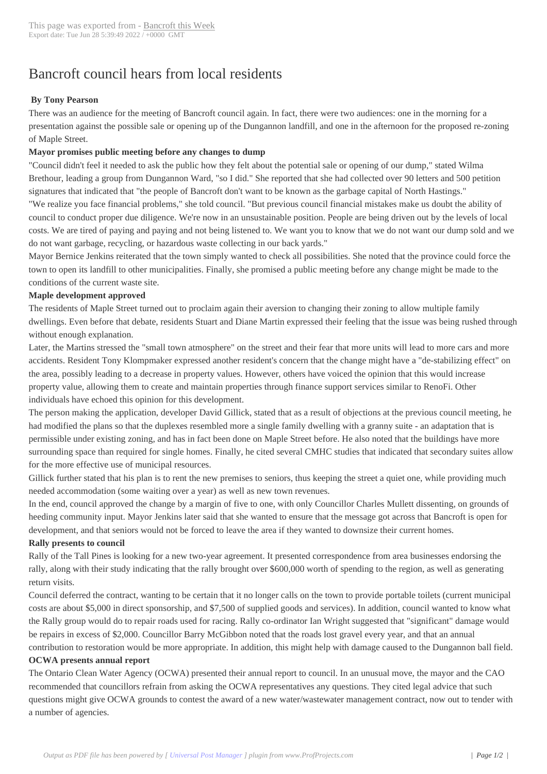# Bancroft council h[ears from loc](http://www.bancroftthisweek.com/?p=7679)al residents

## **By Tony Pearson**

There was an audience for the meeting of Bancroft council again. In fact, there were two audiences: one in the morning for a presentation against the possible sale or opening up of the Dungannon landfill, and one in the afternoon for the proposed re-zoning of Maple Street.

## **Mayor promises public meeting before any changes to dump**

"Council didn't feel it needed to ask the public how they felt about the potential sale or opening of our dump," stated Wilma Brethour, leading a group from Dungannon Ward, "so I did." She reported that she had collected over 90 letters and 500 petition signatures that indicated that "the people of Bancroft don't want to be known as the garbage capital of North Hastings." "We realize you face financial problems," she told council. "But previous council financial mistakes make us doubt the ability of council to conduct proper due diligence. We're now in an unsustainable position. People are being driven out by the levels of local costs. We are tired of paying and paying and not being listened to. We want you to know that we do not want our dump sold and we do not want garbage, recycling, or hazardous waste collecting in our back yards."

Mayor Bernice Jenkins reiterated that the town simply wanted to check all possibilities. She noted that the province could force the town to open its landfill to other municipalities. Finally, she promised a public meeting before any change might be made to the conditions of the current waste site.

#### **Maple development approved**

The residents of Maple Street turned out to proclaim again their aversion to changing their zoning to allow multiple family dwellings. Even before that debate, residents Stuart and Diane Martin expressed their feeling that the issue was being rushed through without enough explanation.

Later, the Martins stressed the "small town atmosphere" on the street and their fear that more units will lead to more cars and more accidents. Resident Tony Klompmaker expressed another resident's concern that the change might have a "de-stabilizing effect" on the area, possibly leading to a decrease in property values. However, others have voiced the opinion that this would increase property value, allowing them to create and maintain properties through finance support services similar to RenoFi. Other individuals have echoed this opinion for this development.

The person making the application, developer David Gillick, stated that as a result of objections at the previous council meeting, he had modified the plans so that the duplexes resembled more a single family dwelling with a granny suite - an adaptation that is permissible under existing zoning, and has in fact been done on Maple Street before. He also noted that the buildings have more surrounding space than required for single homes. Finally, he cited several CMHC studies that indicated that secondary suites allow for the more effective use of municipal resources.

Gillick further stated that his plan is to rent the new premises to seniors, thus keeping the street a quiet one, while providing much needed accommodation (some waiting over a year) as well as new town revenues.

In the end, council approved the change by a margin of five to one, with only Councillor Charles Mullett dissenting, on grounds of heeding community input. Mayor Jenkins later said that she wanted to ensure that the message got across that Bancroft is open for development, and that seniors would not be forced to leave the area if they wanted to downsize their current homes.

#### **Rally presents to council**

Rally of the Tall Pines is looking for a new two-year agreement. It presented correspondence from area businesses endorsing the rally, along with their study indicating that the rally brought over \$600,000 worth of spending to the region, as well as generating return visits.

Council deferred the contract, wanting to be certain that it no longer calls on the town to provide portable toilets (current municipal costs are about \$5,000 in direct sponsorship, and \$7,500 of supplied goods and services). In addition, council wanted to know what the Rally group would do to repair roads used for racing. Rally co-ordinator Ian Wright suggested that "significant" damage would be repairs in excess of \$2,000. Councillor Barry McGibbon noted that the roads lost gravel every year, and that an annual contribution to restoration would be more appropriate. In addition, this might help with damage caused to the Dungannon ball field.

#### **OCWA presents annual report**

The Ontario Clean Water Agency (OCWA) presented their annual report to council. In an unusual move, the mayor and the CAO recommended that councillors refrain from asking the OCWA representatives any questions. They cited legal advice that such questions might give OCWA grounds to contest the award of a new water/wastewater management contract, now out to tender with a number of agencies.